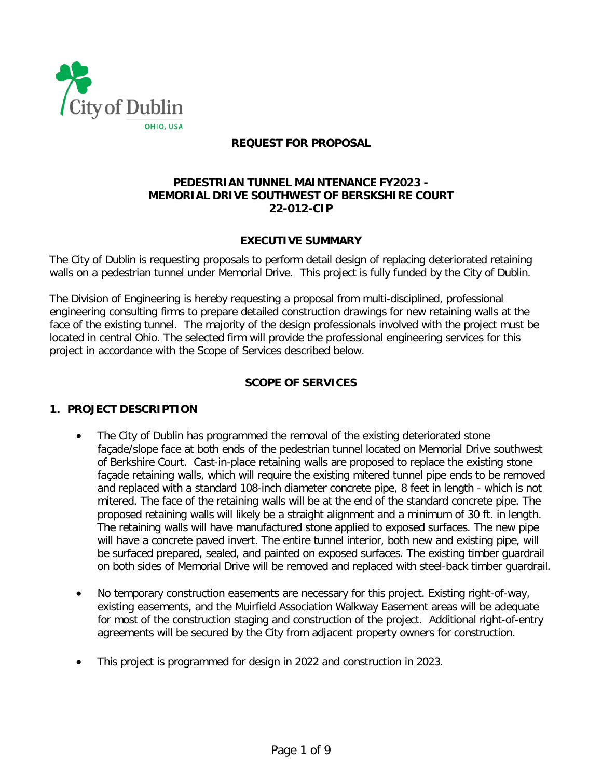

## **REQUEST FOR PROPOSAL**

### **PEDESTRIAN TUNNEL MAINTENANCE FY2023 - MEMORIAL DRIVE SOUTHWEST OF BERSKSHIRE COURT 22-012-CIP**

### **EXECUTIVE SUMMARY**

The City of Dublin is requesting proposals to perform detail design of replacing deteriorated retaining walls on a pedestrian tunnel under Memorial Drive. This project is fully funded by the City of Dublin.

The Division of Engineering is hereby requesting a proposal from multi-disciplined, professional engineering consulting firms to prepare detailed construction drawings for new retaining walls at the face of the existing tunnel. The majority of the design professionals involved with the project must be located in central Ohio. The selected firm will provide the professional engineering services for this project in accordance with the Scope of Services described below.

## **SCOPE OF SERVICES**

#### **1. PROJECT DESCRIPTION**

- The City of Dublin has programmed the removal of the existing deteriorated stone façade/slope face at both ends of the pedestrian tunnel located on Memorial Drive southwest of Berkshire Court. Cast-in-place retaining walls are proposed to replace the existing stone façade retaining walls, which will require the existing mitered tunnel pipe ends to be removed and replaced with a standard 108-inch diameter concrete pipe, 8 feet in length - which is not mitered. The face of the retaining walls will be at the end of the standard concrete pipe. The proposed retaining walls will likely be a straight alignment and a minimum of 30 ft. in length. The retaining walls will have manufactured stone applied to exposed surfaces. The new pipe will have a concrete paved invert. The entire tunnel interior, both new and existing pipe, will be surfaced prepared, sealed, and painted on exposed surfaces. The existing timber guardrail on both sides of Memorial Drive will be removed and replaced with steel-back timber guardrail.
- No temporary construction easements are necessary for this project. Existing right-of-way, existing easements, and the Muirfield Association Walkway Easement areas will be adequate for most of the construction staging and construction of the project. Additional right-of-entry agreements will be secured by the City from adjacent property owners for construction.
- This project is programmed for design in 2022 and construction in 2023.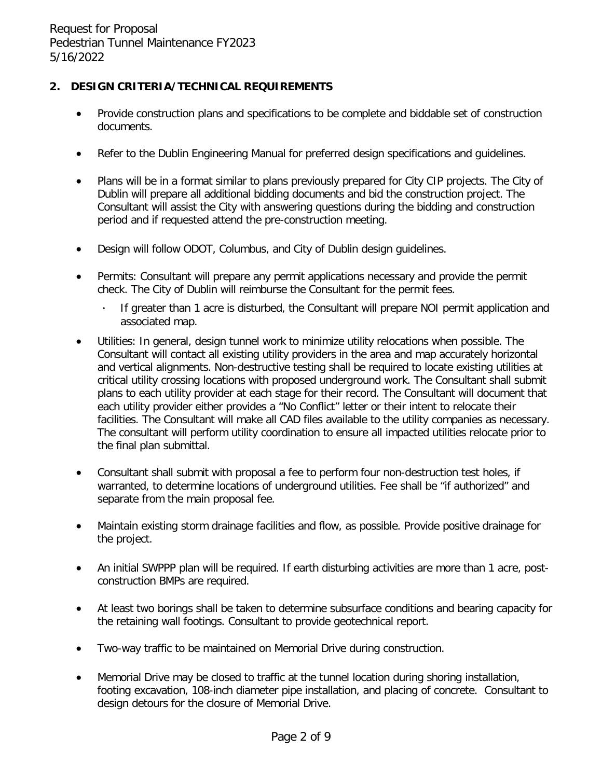## **2. DESIGN CRITERIA/TECHNICAL REQUIREMENTS**

- Provide construction plans and specifications to be complete and biddable set of construction documents.
- Refer to the Dublin Engineering Manual for preferred design specifications and quidelines.
- Plans will be in a format similar to plans previously prepared for City CIP projects. The City of Dublin will prepare all additional bidding documents and bid the construction project. The Consultant will assist the City with answering questions during the bidding and construction period and if requested attend the pre-construction meeting.
- Design will follow ODOT, Columbus, and City of Dublin design guidelines.
- Permits: Consultant will prepare any permit applications necessary and provide the permit check. The City of Dublin will reimburse the Consultant for the permit fees.
	- **·** If greater than 1 acre is disturbed, the Consultant will prepare NOI permit application and associated map.
- Utilities: In general, design tunnel work to minimize utility relocations when possible. The Consultant will contact all existing utility providers in the area and map accurately horizontal and vertical alignments. Non-destructive testing shall be required to locate existing utilities at critical utility crossing locations with proposed underground work. The Consultant shall submit plans to each utility provider at each stage for their record. The Consultant will document that each utility provider either provides a "No Conflict" letter or their intent to relocate their facilities. The Consultant will make all CAD files available to the utility companies as necessary. The consultant will perform utility coordination to ensure all impacted utilities relocate prior to the final plan submittal.
- Consultant shall submit with proposal a fee to perform four non-destruction test holes, if warranted, to determine locations of underground utilities. Fee shall be "if authorized" and separate from the main proposal fee.
- Maintain existing storm drainage facilities and flow, as possible. Provide positive drainage for the project.
- An initial SWPPP plan will be required. If earth disturbing activities are more than 1 acre, postconstruction BMPs are required.
- At least two borings shall be taken to determine subsurface conditions and bearing capacity for the retaining wall footings. Consultant to provide geotechnical report.
- Two-way traffic to be maintained on Memorial Drive during construction.
- Memorial Drive may be closed to traffic at the tunnel location during shoring installation, footing excavation, 108-inch diameter pipe installation, and placing of concrete. Consultant to design detours for the closure of Memorial Drive.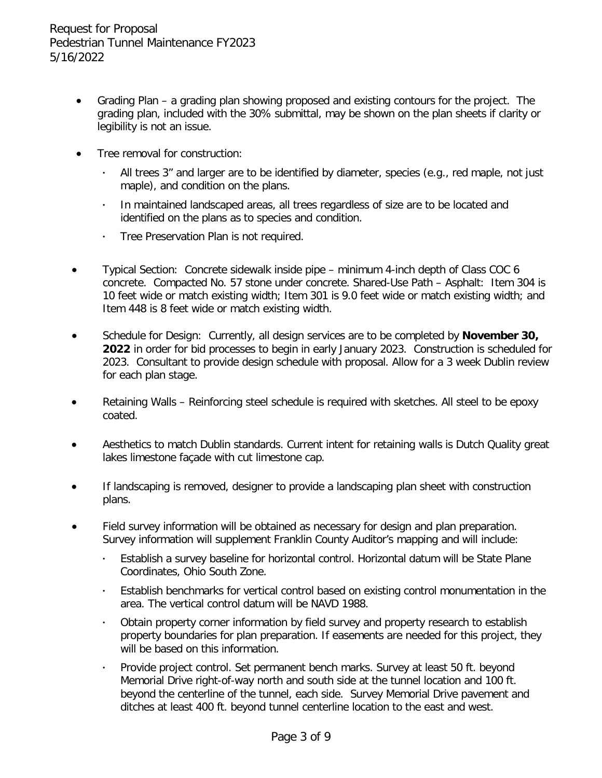- Grading Plan a grading plan showing proposed and existing contours for the project. The grading plan, included with the 30% submittal, may be shown on the plan sheets if clarity or legibility is not an issue.
- Tree removal for construction:
	- **·** All trees 3" and larger are to be identified by diameter, species (e.g., red maple, not just maple), and condition on the plans.
	- **·** In maintained landscaped areas, all trees regardless of size are to be located and identified on the plans as to species and condition.
	- **·** Tree Preservation Plan is not required.
- Typical Section: Concrete sidewalk inside pipe minimum 4-inch depth of Class COC 6 concrete. Compacted No. 57 stone under concrete. Shared-Use Path – Asphalt: Item 304 is 10 feet wide or match existing width; Item 301 is 9.0 feet wide or match existing width; and Item 448 is 8 feet wide or match existing width.
- Schedule for Design: Currently, all design services are to be completed by **November 30, 2022** in order for bid processes to begin in early January 2023. Construction is scheduled for 2023. Consultant to provide design schedule with proposal. Allow for a 3 week Dublin review for each plan stage.
- Retaining Walls Reinforcing steel schedule is required with sketches. All steel to be epoxy coated.
- Aesthetics to match Dublin standards. Current intent for retaining walls is Dutch Quality great lakes limestone façade with cut limestone cap.
- If landscaping is removed, designer to provide a landscaping plan sheet with construction plans.
- Field survey information will be obtained as necessary for design and plan preparation. Survey information will supplement Franklin County Auditor's mapping and will include:
	- **·** Establish a survey baseline for horizontal control. Horizontal datum will be State Plane Coordinates, Ohio South Zone.
	- **·** Establish benchmarks for vertical control based on existing control monumentation in the area. The vertical control datum will be NAVD 1988.
	- **·** Obtain property corner information by field survey and property research to establish property boundaries for plan preparation. If easements are needed for this project, they will be based on this information.
	- **·** Provide project control. Set permanent bench marks. Survey at least 50 ft. beyond Memorial Drive right-of-way north and south side at the tunnel location and 100 ft. beyond the centerline of the tunnel, each side. Survey Memorial Drive pavement and ditches at least 400 ft. beyond tunnel centerline location to the east and west.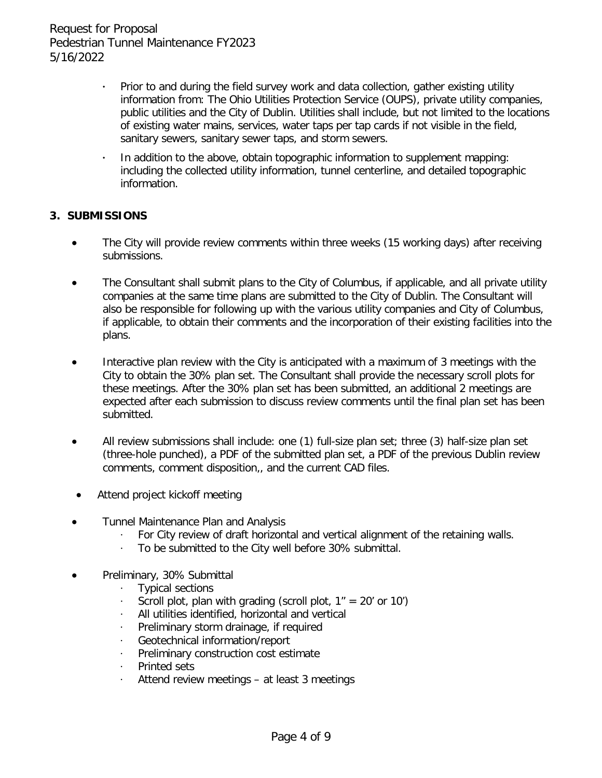- Prior to and during the field survey work and data collection, gather existing utility information from: The Ohio Utilities Protection Service (OUPS), private utility companies, public utilities and the City of Dublin. Utilities shall include, but not limited to the locations of existing water mains, services, water taps per tap cards if not visible in the field, sanitary sewers, sanitary sewer taps, and storm sewers.
- **·** In addition to the above, obtain topographic information to supplement mapping: including the collected utility information, tunnel centerline, and detailed topographic information.

## **3. SUBMISSIONS**

- The City will provide review comments within three weeks (15 working days) after receiving submissions.
- The Consultant shall submit plans to the City of Columbus, if applicable, and all private utility companies at the same time plans are submitted to the City of Dublin. The Consultant will also be responsible for following up with the various utility companies and City of Columbus, if applicable, to obtain their comments and the incorporation of their existing facilities into the plans.
- Interactive plan review with the City is anticipated with a maximum of 3 meetings with the City to obtain the 30% plan set. The Consultant shall provide the necessary scroll plots for these meetings. After the 30% plan set has been submitted, an additional 2 meetings are expected after each submission to discuss review comments until the final plan set has been submitted.
- All review submissions shall include: one (1) full-size plan set; three (3) half-size plan set (three-hole punched), a PDF of the submitted plan set, a PDF of the previous Dublin review comments, comment disposition,, and the current CAD files.
- Attend project kickoff meeting
- Tunnel Maintenance Plan and Analysis
	- · For City review of draft horizontal and vertical alignment of the retaining walls.
	- To be submitted to the City well before 30% submittal.
- Preliminary, 30% Submittal
	- · Typical sections
	- Scroll plot, plan with grading (scroll plot,  $1'' = 20'$  or  $10'$ )
	- · All utilities identified, horizontal and vertical
	- Preliminary storm drainage, if required
	- · Geotechnical information/report
	- Preliminary construction cost estimate
	- · Printed sets
	- Attend review meetings at least 3 meetings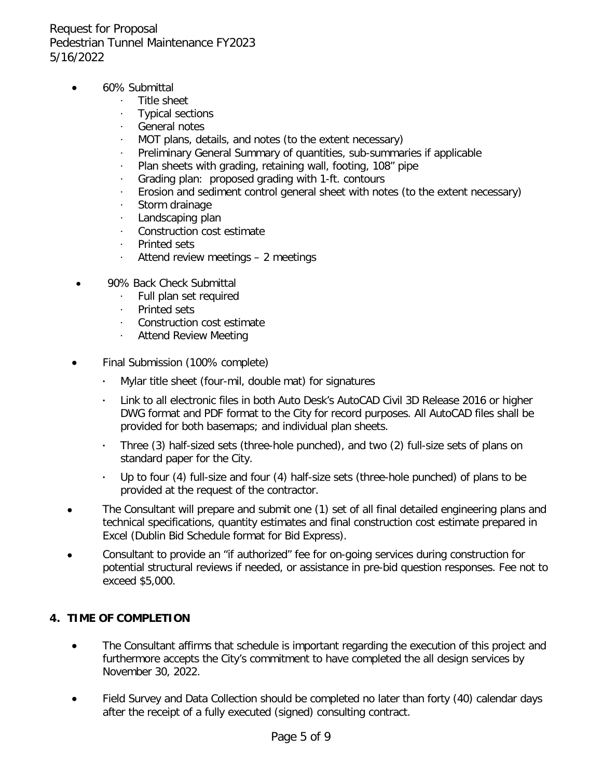- 60% Submittal
	- · Title sheet
	- · Typical sections
	- · General notes
	- MOT plans, details, and notes (to the extent necessary)
	- Preliminary General Summary of quantities, sub-summaries if applicable
	- Plan sheets with grading, retaining wall, footing, 108" pipe
	- Grading plan: proposed grading with 1-ft. contours
	- · Erosion and sediment control general sheet with notes (to the extent necessary)
	- · Storm drainage
	- · Landscaping plan
	- · Construction cost estimate
	- Printed sets
	- · Attend review meetings 2 meetings
- 90% Back Check Submittal
	- · Full plan set required
	- · Printed sets
	- · Construction cost estimate
	- · Attend Review Meeting
- Final Submission (100% complete)
	- **·** Mylar title sheet (four-mil, double mat) for signatures
	- **·** Link to all electronic files in both Auto Desk's AutoCAD Civil 3D Release 2016 or higher DWG format and PDF format to the City for record purposes. All AutoCAD files shall be provided for both basemaps; and individual plan sheets.
	- **·** Three (3) half-sized sets (three-hole punched), and two (2) full-size sets of plans on standard paper for the City.
	- **·** Up to four (4) full-size and four (4) half-size sets (three-hole punched) of plans to be provided at the request of the contractor.
- The Consultant will prepare and submit one (1) set of all final detailed engineering plans and technical specifications, quantity estimates and final construction cost estimate prepared in Excel (Dublin Bid Schedule format for Bid Express).
- Consultant to provide an "if authorized" fee for on-going services during construction for potential structural reviews if needed, or assistance in pre-bid question responses. Fee not to exceed \$5,000.

## **4. TIME OF COMPLETION**

- The Consultant affirms that schedule is important regarding the execution of this project and furthermore accepts the City's commitment to have completed the all design services by November 30, 2022.
- Field Survey and Data Collection should be completed no later than forty (40) calendar days after the receipt of a fully executed (signed) consulting contract.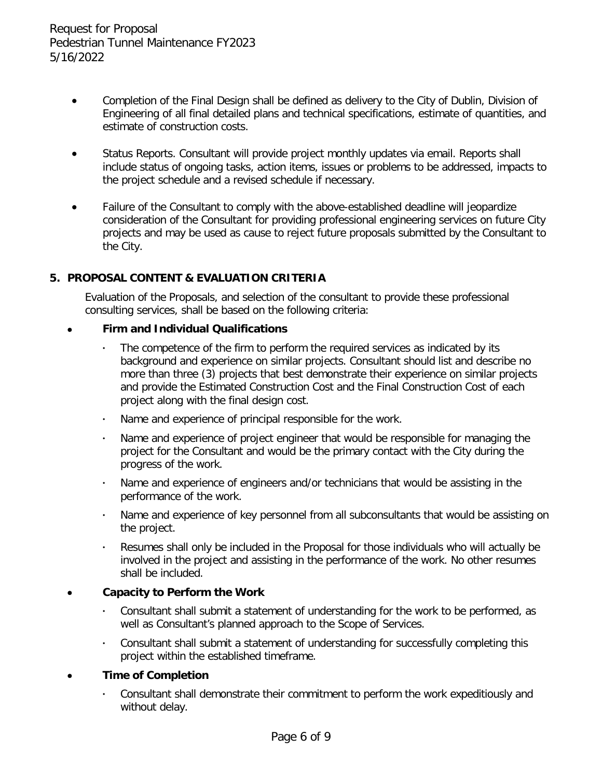- Completion of the Final Design shall be defined as delivery to the City of Dublin, Division of Engineering of all final detailed plans and technical specifications, estimate of quantities, and estimate of construction costs.
- Status Reports. Consultant will provide project monthly updates via email. Reports shall include status of ongoing tasks, action items, issues or problems to be addressed, impacts to the project schedule and a revised schedule if necessary.
- Failure of the Consultant to comply with the above-established deadline will jeopardize consideration of the Consultant for providing professional engineering services on future City projects and may be used as cause to reject future proposals submitted by the Consultant to the City.

## **5. PROPOSAL CONTENT & EVALUATION CRITERIA**

Evaluation of the Proposals, and selection of the consultant to provide these professional consulting services, shall be based on the following criteria:

### • **Firm and Individual Qualifications**

- The competence of the firm to perform the required services as indicated by its background and experience on similar projects. Consultant should list and describe no more than three (3) projects that best demonstrate their experience on similar projects and provide the Estimated Construction Cost and the Final Construction Cost of each project along with the final design cost.
- **·** Name and experience of principal responsible for the work.
- **·** Name and experience of project engineer that would be responsible for managing the project for the Consultant and would be the primary contact with the City during the progress of the work.
- **·** Name and experience of engineers and/or technicians that would be assisting in the performance of the work.
- **·** Name and experience of key personnel from all subconsultants that would be assisting on the project.
- **·** Resumes shall only be included in the Proposal for those individuals who will actually be involved in the project and assisting in the performance of the work. No other resumes shall be included.

## • **Capacity to Perform the Work**

- **·** Consultant shall submit a statement of understanding for the work to be performed, as well as Consultant's planned approach to the Scope of Services.
- **·** Consultant shall submit a statement of understanding for successfully completing this project within the established timeframe.

## • **Time of Completion**

**·** Consultant shall demonstrate their commitment to perform the work expeditiously and without delay.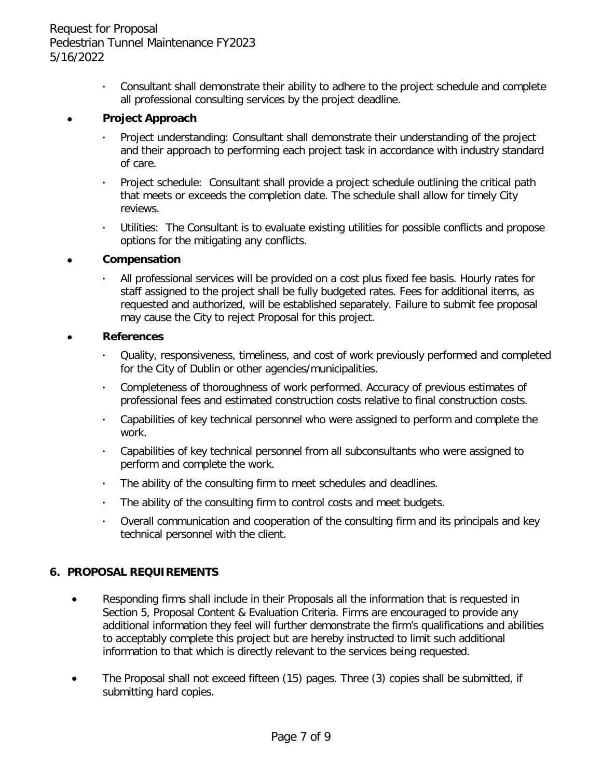**·** Consultant shall demonstrate their ability to adhere to the project schedule and complete all professional consulting services by the project deadline.

#### • **Project Approach**

- **·** Project understanding: Consultant shall demonstrate their understanding of the project and their approach to performing each project task in accordance with industry standard of care.
- **·** Project schedule: Consultant shall provide a project schedule outlining the critical path that meets or exceeds the completion date. The schedule shall allow for timely City reviews.
- **·** Utilities: The Consultant is to evaluate existing utilities for possible conflicts and propose options for the mitigating any conflicts.

#### • **Compensation**

**·** All professional services will be provided on a cost plus fixed fee basis. Hourly rates for staff assigned to the project shall be fully budgeted rates. Fees for additional items, as requested and authorized, will be established separately. Failure to submit fee proposal may cause the City to reject Proposal for this project.

#### • **References**

- **·** Quality, responsiveness, timeliness, and cost of work previously performed and completed for the City of Dublin or other agencies/municipalities.
- **·** Completeness of thoroughness of work performed. Accuracy of previous estimates of professional fees and estimated construction costs relative to final construction costs.
- **·** Capabilities of key technical personnel who were assigned to perform and complete the work.
- **·** Capabilities of key technical personnel from all subconsultants who were assigned to perform and complete the work.
- **·** The ability of the consulting firm to meet schedules and deadlines.
- **·** The ability of the consulting firm to control costs and meet budgets.
- **·** Overall communication and cooperation of the consulting firm and its principals and key technical personnel with the client.

#### **6. PROPOSAL REQUIREMENTS**

- Responding firms shall include in their Proposals all the information that is requested in Section 5, Proposal Content & Evaluation Criteria. Firms are encouraged to provide any additional information they feel will further demonstrate the firm's qualifications and abilities to acceptably complete this project but are hereby instructed to limit such additional information to that which is directly relevant to the services being requested.
- The Proposal shall not exceed fifteen (15) pages. Three (3) copies shall be submitted, if submitting hard copies.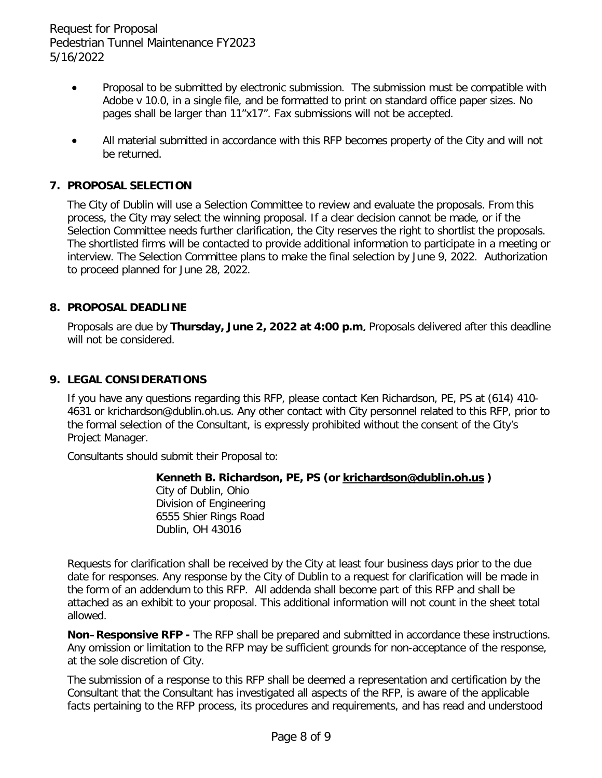- Proposal to be submitted by electronic submission. The submission must be compatible with Adobe v 10.0, in a single file, and be formatted to print on standard office paper sizes. No pages shall be larger than 11"x17". Fax submissions will not be accepted.
- All material submitted in accordance with this RFP becomes property of the City and will not be returned.

### **7. PROPOSAL SELECTION**

The City of Dublin will use a Selection Committee to review and evaluate the proposals. From this process, the City may select the winning proposal. If a clear decision cannot be made, or if the Selection Committee needs further clarification, the City reserves the right to shortlist the proposals. The shortlisted firms will be contacted to provide additional information to participate in a meeting or interview. The Selection Committee plans to make the final selection by June 9, 2022. Authorization to proceed planned for June 28, 2022.

#### **8. PROPOSAL DEADLINE**

Proposals are due by **Thursday, June 2, 2022 at 4:00 p.m**. Proposals delivered after this deadline will not be considered.

#### **9. LEGAL CONSIDERATIONS**

If you have any questions regarding this RFP, please contact Ken Richardson, PE, PS at (614) 410- 4631 or krichardson@dublin.oh.us. Any other contact with City personnel related to this RFP, prior to the formal selection of the Consultant, is expressly prohibited without the consent of the City's Project Manager.

Consultants should submit their Proposal to:

#### **Kenneth B. Richardson, PE, PS (or [krichardson@dublin.oh.us](mailto:krichardson@dublin.oh.us) )**

City of Dublin, Ohio Division of Engineering 6555 Shier Rings Road Dublin, OH 43016

Requests for clarification shall be received by the City at least four business days prior to the due date for responses. Any response by the City of Dublin to a request for clarification will be made in the form of an addendum to this RFP. All addenda shall become part of this RFP and shall be attached as an exhibit to your proposal. This additional information will not count in the sheet total allowed.

**Non–Responsive RFP -** The RFP shall be prepared and submitted in accordance these instructions. Any omission or limitation to the RFP may be sufficient grounds for non-acceptance of the response, at the sole discretion of City.

The submission of a response to this RFP shall be deemed a representation and certification by the Consultant that the Consultant has investigated all aspects of the RFP, is aware of the applicable facts pertaining to the RFP process, its procedures and requirements, and has read and understood